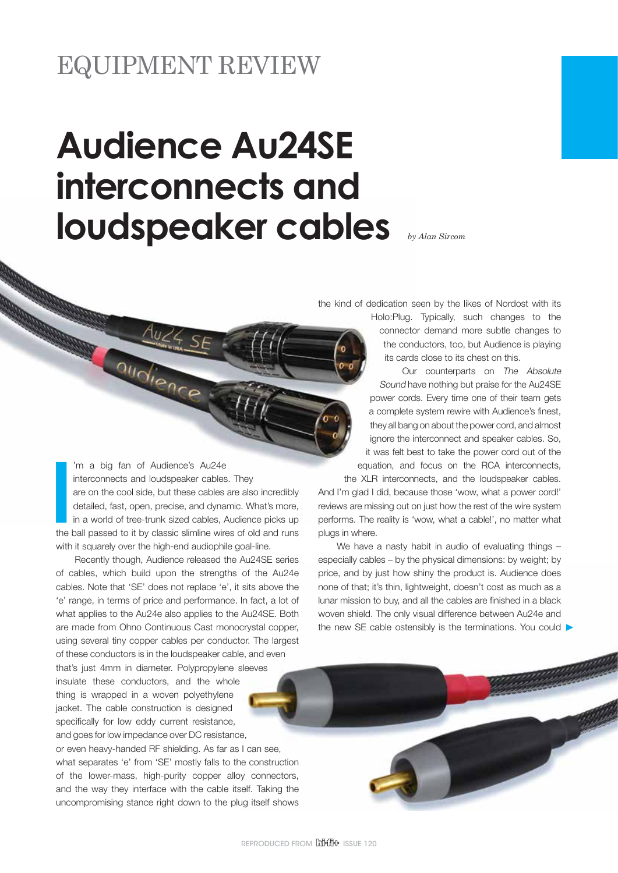## EQUIPMENT REVIEW

## **Audience Au24SE interconnects and loudspeaker cables** *by Alan Sircom*

the kind of dedication seen by the likes of Nordost with its

connector demand more subtle changes to the conductors, too, but Audience is playing its cards close to its chest on this. Our counterparts on The Absolute

Holo:Plug. Typically, such changes to the

Sound have nothing but praise for the Au24SE power cords. Every time one of their team gets a complete system rewire with Audience's finest, they all bang on about the power cord, and almost ignore the interconnect and speaker cables. So, it was felt best to take the power cord out of the equation, and focus on the RCA interconnects,

the XLR interconnects, and the loudspeaker cables. And I'm glad I did, because those 'wow, what a power cord!' reviews are missing out on just how the rest of the wire system performs. The reality is 'wow, what a cable!', no matter what plugs in where.

We have a nasty habit in audio of evaluating things – especially cables – by the physical dimensions: by weight; by price, and by just how shiny the product is. Audience does none of that; it's thin, lightweight, doesn't cost as much as a lunar mission to buy, and all the cables are finished in a black woven shield. The only visual difference between Au24e and the new SE cable ostensibly is the terminations. You could  $\blacktriangleright$ 

I<br>I<br>I the I 'm a big fan of Audience's Au24e interconnects and loudspeaker cables. They are on the cool side, but these cables are also incredibly detailed, fast, open, precise, and dynamic. What's more, in a world of tree-trunk sized cables, Audience picks up the ball passed to it by classic slimline wires of old and runs with it squarely over the high-end audiophile goal-line.

audience

Recently though, Audience released the Au24SE series of cables, which build upon the strengths of the Au24e cables. Note that 'SE' does not replace 'e', it sits above the 'e' range, in terms of price and performance. In fact, a lot of what applies to the Au24e also applies to the Au24SE. Both are made from Ohno Continuous Cast monocrystal copper, using several tiny copper cables per conductor. The largest of these conductors is in the loudspeaker cable, and even

that's just 4mm in diameter. Polypropylene sleeves insulate these conductors, and the whole thing is wrapped in a woven polyethylene jacket. The cable construction is designed specifically for low eddy current resistance, and goes for low impedance over DC resistance,

or even heavy-handed RF shielding. As far as I can see, what separates 'e' from 'SE' mostly falls to the construction of the lower-mass, high-purity copper alloy connectors, and the way they interface with the cable itself. Taking the uncompromising stance right down to the plug itself shows